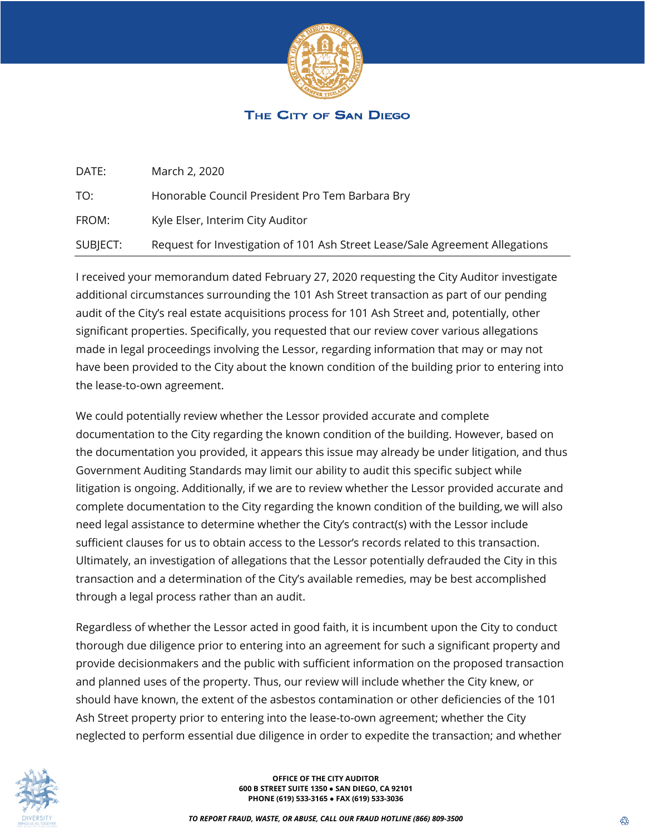

## THE CITY OF SAN DIEGO

| DATE:    | March 2, 2020                                                                |
|----------|------------------------------------------------------------------------------|
| TO:      | Honorable Council President Pro Tem Barbara Bry                              |
| FROM:    | Kyle Elser, Interim City Auditor                                             |
| SUBJECT: | Request for Investigation of 101 Ash Street Lease/Sale Agreement Allegations |

I received your memorandum dated February 27, 2020 requesting the City Auditor investigate additional circumstances surrounding the 101 Ash Street transaction as part of our pending audit of the City's real estate acquisitions process for 101 Ash Street and, potentially, other significant properties. Specifically, you requested that our review cover various allegations made in legal proceedings involving the Lessor, regarding information that may or may not have been provided to the City about the known condition of the building prior to entering into the lease-to-own agreement.

We could potentially review whether the Lessor provided accurate and complete documentation to the City regarding the known condition of the building. However, based on the documentation you provided, it appears this issue may already be under litigation, and thus Government Auditing Standards may limit our ability to audit this specific subject while litigation is ongoing. Additionally, if we are to review whether the Lessor provided accurate and complete documentation to the City regarding the known condition of the building, we will also need legal assistance to determine whether the City's contract(s) with the Lessor include sufficient clauses for us to obtain access to the Lessor's records related to this transaction. Ultimately, an investigation of allegations that the Lessor potentially defrauded the City in this transaction and a determination of the City's available remedies, may be best accomplished through a legal process rather than an audit.

Regardless of whether the Lessor acted in good faith, it is incumbent upon the City to conduct thorough due diligence prior to entering into an agreement for such a significant property and provide decisionmakers and the public with sufficient information on the proposed transaction and planned uses of the property. Thus, our review will include whether the City knew, or should have known, the extent of the asbestos contamination or other deficiencies of the 101 Ash Street property prior to entering into the lease-to-own agreement; whether the City neglected to perform essential due diligence in order to expedite the transaction; and whether



**OFFICE OF THE CITY AUDITOR 600 B STREET SUITE 1350 ● SAN DIEGO, CA 92101 PHONE (619) 533-3165 ● FAX (619) 533-3036**